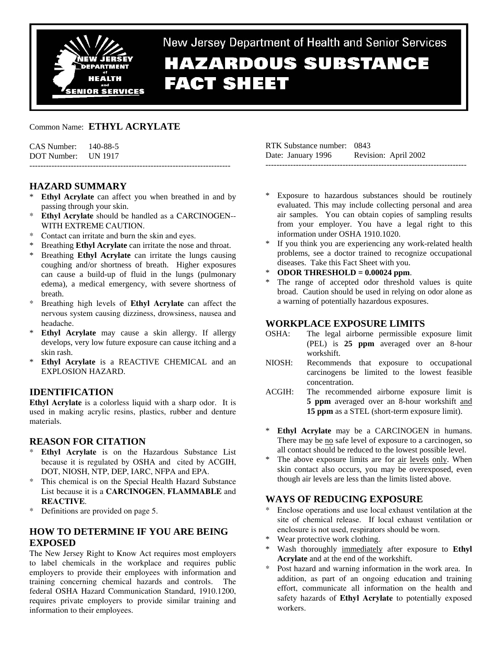

# New Jersey Department of Health and Senior Services **HAZARDOUS SUBSTANCE FACT SHEET**

Common Name: **ETHYL ACRYLATE** 

| $CAS$ Number: $140-88-5$ |  |
|--------------------------|--|
| DOT Number: UN 1917      |  |
|                          |  |

# **HAZARD SUMMARY**

- **Ethyl Acrylate** can affect you when breathed in and by passing through your skin.
- **Ethyl Acrylate** should be handled as a CARCINOGEN--WITH EXTREME CAUTION.
- Contact can irritate and burn the skin and eyes.
- Breathing **Ethyl Acrylate** can irritate the nose and throat.
- \* Breathing **Ethyl Acrylate** can irritate the lungs causing coughing and/or shortness of breath. Higher exposures can cause a build-up of fluid in the lungs (pulmonary edema), a medical emergency, with severe shortness of breath.
- \* Breathing high levels of **Ethyl Acrylate** can affect the nervous system causing dizziness, drowsiness, nausea and headache.
- **Ethyl Acrylate** may cause a skin allergy. If allergy develops, very low future exposure can cause itching and a skin rash.
- \* **Ethyl Acrylate** is a REACTIVE CHEMICAL and an EXPLOSION HAZARD.

## **IDENTIFICATION**

**Ethyl Acrylate** is a colorless liquid with a sharp odor. It is used in making acrylic resins, plastics, rubber and denture materials.

## **REASON FOR CITATION**

- **Ethyl Acrylate** is on the Hazardous Substance List because it is regulated by OSHA and cited by ACGIH, DOT, NIOSH, NTP, DEP, IARC, NFPA and EPA.
- \* This chemical is on the Special Health Hazard Substance List because it is a **CARCINOGEN**, **FLAMMABLE** and **REACTIVE**.
- \* Definitions are provided on page 5.

# **HOW TO DETERMINE IF YOU ARE BEING EXPOSED**

The New Jersey Right to Know Act requires most employers to label chemicals in the workplace and requires public employers to provide their employees with information and training concerning chemical hazards and controls. The federal OSHA Hazard Communication Standard, 1910.1200, requires private employers to provide similar training and information to their employees.

| RTK Substance number: 0843 |                      |
|----------------------------|----------------------|
| Date: January 1996         | Revision: April 2002 |
|                            |                      |

- Exposure to hazardous substances should be routinely evaluated. This may include collecting personal and area air samples. You can obtain copies of sampling results from your employer. You have a legal right to this information under OSHA 1910.1020.
- If you think you are experiencing any work-related health problems, see a doctor trained to recognize occupational diseases. Take this Fact Sheet with you.
- \* **ODOR THRESHOLD = 0.00024 ppm**.
- The range of accepted odor threshold values is quite broad. Caution should be used in relying on odor alone as a warning of potentially hazardous exposures.

# **WORKPLACE EXPOSURE LIMITS**

- OSHA: The legal airborne permissible exposure limit (PEL) is **25 ppm** averaged over an 8-hour workshift.
- NIOSH: Recommends that exposure to occupational carcinogens be limited to the lowest feasible concentration.
- ACGIH: The recommended airborne exposure limit is **5 ppm** averaged over an 8-hour workshift and **15 ppm** as a STEL (short-term exposure limit).
- \* **Ethyl Acrylate** may be a CARCINOGEN in humans. There may be no safe level of exposure to a carcinogen, so all contact should be reduced to the lowest possible level.
- The above exposure limits are for air levels only. When skin contact also occurs, you may be overexposed, even though air levels are less than the limits listed above.

# **WAYS OF REDUCING EXPOSURE**

- Enclose operations and use local exhaust ventilation at the site of chemical release. If local exhaust ventilation or enclosure is not used, respirators should be worn.
- Wear protective work clothing.
- Wash thoroughly immediately after exposure to **Ethyl Acrylate** and at the end of the workshift.
- \* Post hazard and warning information in the work area. In addition, as part of an ongoing education and training effort, communicate all information on the health and safety hazards of **Ethyl Acrylate** to potentially exposed workers.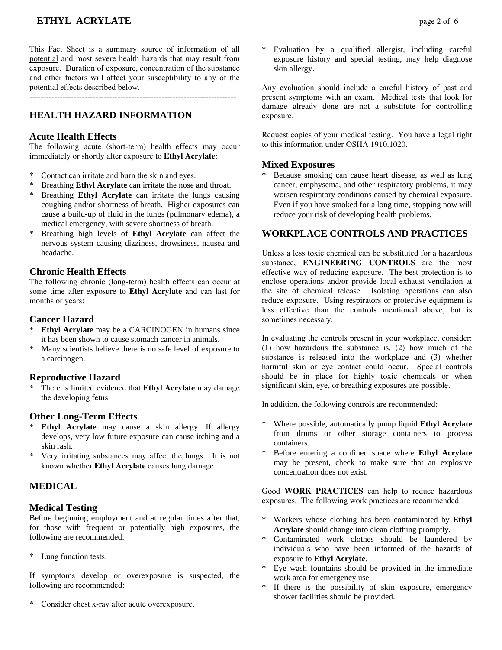# **ETHYL ACRYLATE** page 2 of 6

This Fact Sheet is a summary source of information of all potential and most severe health hazards that may result from exposure. Duration of exposure, concentration of the substance and other factors will affect your susceptibility to any of the potential effects described below.

---------------------------------------------------------------------------

# **HEALTH HAZARD INFORMATION**

#### **Acute Health Effects**

The following acute (short-term) health effects may occur immediately or shortly after exposure to **Ethyl Acrylate**:

- Contact can irritate and burn the skin and eyes.
- Breathing **Ethyl Acrylate** can irritate the nose and throat.
- \* Breathing **Ethyl Acrylate** can irritate the lungs causing coughing and/or shortness of breath. Higher exposures can cause a build-up of fluid in the lungs (pulmonary edema), a medical emergency, with severe shortness of breath.
- \* Breathing high levels of **Ethyl Acrylate** can affect the nervous system causing dizziness, drowsiness, nausea and headache.

#### **Chronic Health Effects**

The following chronic (long-term) health effects can occur at some time after exposure to **Ethyl Acrylate** and can last for months or years:

## **Cancer Hazard**

- **Ethyl Acrylate** may be a CARCINOGEN in humans since it has been shown to cause stomach cancer in animals.
- \* Many scientists believe there is no safe level of exposure to a carcinogen.

#### **Reproductive Hazard**

\* There is limited evidence that **Ethyl Acrylate** may damage the developing fetus.

#### **Other Long-Term Effects**

- \* **Ethyl Acrylate** may cause a skin allergy. If allergy develops, very low future exposure can cause itching and a skin rash.
- \* Very irritating substances may affect the lungs. It is not known whether **Ethyl Acrylate** causes lung damage.

## **MEDICAL**

## **Medical Testing**

Before beginning employment and at regular times after that, for those with frequent or potentially high exposures, the following are recommended:

\* Lung function tests.

If symptoms develop or overexposure is suspected, the following are recommended:

Consider chest x-ray after acute overexposure.

Evaluation by a qualified allergist, including careful exposure history and special testing, may help diagnose skin allergy.

Any evaluation should include a careful history of past and present symptoms with an exam. Medical tests that look for damage already done are not a substitute for controlling exposure.

Request copies of your medical testing. You have a legal right to this information under OSHA 1910.1020.

#### **Mixed Exposures**

Because smoking can cause heart disease, as well as lung cancer, emphysema, and other respiratory problems, it may worsen respiratory conditions caused by chemical exposure. Even if you have smoked for a long time, stopping now will reduce your risk of developing health problems.

#### **WORKPLACE CONTROLS AND PRACTICES**

Unless a less toxic chemical can be substituted for a hazardous substance, **ENGINEERING CONTROLS** are the most effective way of reducing exposure. The best protection is to enclose operations and/or provide local exhaust ventilation at the site of chemical release. Isolating operations can also reduce exposure. Using respirators or protective equipment is less effective than the controls mentioned above, but is sometimes necessary.

In evaluating the controls present in your workplace, consider: (1) how hazardous the substance is, (2) how much of the substance is released into the workplace and (3) whether harmful skin or eye contact could occur. Special controls should be in place for highly toxic chemicals or when significant skin, eye, or breathing exposures are possible.

In addition, the following controls are recommended:

- \* Where possible, automatically pump liquid **Ethyl Acrylate** from drums or other storage containers to process containers.
- \* Before entering a confined space where **Ethyl Acrylate** may be present, check to make sure that an explosive concentration does not exist.

Good **WORK PRACTICES** can help to reduce hazardous exposures. The following work practices are recommended:

- \* Workers whose clothing has been contaminated by **Ethyl Acrylate** should change into clean clothing promptly.
- Contaminated work clothes should be laundered by individuals who have been informed of the hazards of exposure to **Ethyl Acrylate**.
- Eye wash fountains should be provided in the immediate work area for emergency use.
- If there is the possibility of skin exposure, emergency shower facilities should be provided.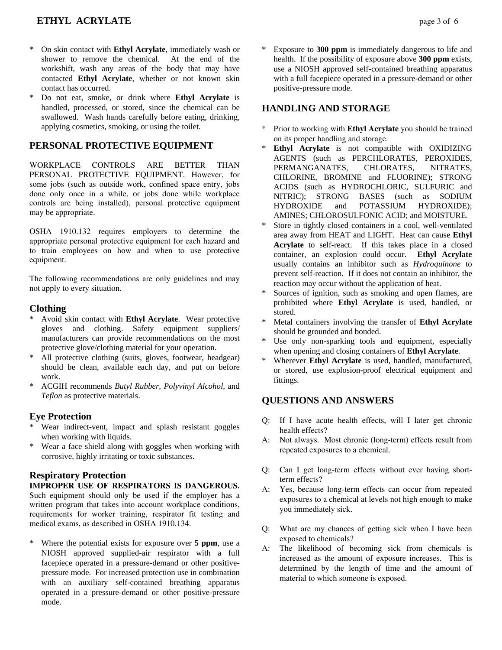# **ETHYL ACRYLATE** page 3 of 6

- \* On skin contact with **Ethyl Acrylate**, immediately wash or shower to remove the chemical. At the end of the workshift, wash any areas of the body that may have contacted **Ethyl Acrylate**, whether or not known skin contact has occurred.
- \* Do not eat, smoke, or drink where **Ethyl Acrylate** is handled, processed, or stored, since the chemical can be swallowed. Wash hands carefully before eating, drinking, applying cosmetics, smoking, or using the toilet.

# **PERSONAL PROTECTIVE EQUIPMENT**

WORKPLACE CONTROLS ARE BETTER THAN PERSONAL PROTECTIVE EQUIPMENT. However, for some jobs (such as outside work, confined space entry, jobs done only once in a while, or jobs done while workplace controls are being installed), personal protective equipment may be appropriate.

OSHA 1910.132 requires employers to determine the appropriate personal protective equipment for each hazard and to train employees on how and when to use protective equipment.

The following recommendations are only guidelines and may not apply to every situation.

#### **Clothing**

- \* Avoid skin contact with **Ethyl Acrylate**. Wear protective gloves and clothing. Safety equipment suppliers/ manufacturers can provide recommendations on the most protective glove/clothing material for your operation.
- \* All protective clothing (suits, gloves, footwear, headgear) should be clean, available each day, and put on before work.
- \* ACGIH recommends *Butyl Rubber, Polyvinyl Alcohol,* and *Teflon* as protective materials.

## **Eye Protection**

- \* Wear indirect-vent, impact and splash resistant goggles when working with liquids.
- \* Wear a face shield along with goggles when working with corrosive, highly irritating or toxic substances.

## **Respiratory Protection**

**IMPROPER USE OF RESPIRATORS IS DANGEROUS.** Such equipment should only be used if the employer has a written program that takes into account workplace conditions, requirements for worker training, respirator fit testing and medical exams, as described in OSHA 1910.134.

\* Where the potential exists for exposure over **5 ppm**, use a NIOSH approved supplied-air respirator with a full facepiece operated in a pressure-demand or other positivepressure mode. For increased protection use in combination with an auxiliary self-contained breathing apparatus operated in a pressure-demand or other positive-pressure mode.

Exposure to **300 ppm** is immediately dangerous to life and health. If the possibility of exposure above **300 ppm** exists, use a NIOSH approved self-contained breathing apparatus with a full facepiece operated in a pressure-demand or other positive-pressure mode.

## **HANDLING AND STORAGE**

- \* Prior to working with **Ethyl Acrylate** you should be trained on its proper handling and storage.
- **Ethyl Acrylate** is not compatible with OXIDIZING AGENTS (such as PERCHLORATES, PEROXIDES, PERMANGANATES, CHLORATES, NITRATES, CHLORINE, BROMINE and FLUORINE); STRONG ACIDS (such as HYDROCHLORIC, SULFURIC and NITRIC); STRONG BASES (such as SODIUM HYDROXIDE and POTASSIUM HYDROXIDE); AMINES; CHLOROSULFONIC ACID; and MOISTURE.
- Store in tightly closed containers in a cool, well-ventilated area away from HEAT and LIGHT. Heat can cause **Ethyl Acrylate** to self-react. If this takes place in a closed container, an explosion could occur. **Ethyl Acrylate**  usually contains an inhibitor such as *Hydroquinone* to prevent self-reaction. If it does not contain an inhibitor, the reaction may occur without the application of heat.
- Sources of ignition, such as smoking and open flames, are prohibited where **Ethyl Acrylate** is used, handled, or stored.
- \* Metal containers involving the transfer of **Ethyl Acrylate** should be grounded and bonded.
- \* Use only non-sparking tools and equipment, especially when opening and closing containers of **Ethyl Acrylate**.
- Wherever **Ethyl Acrylate** is used, handled, manufactured, or stored, use explosion-proof electrical equipment and fittings.

## **QUESTIONS AND ANSWERS**

- Q: If I have acute health effects, will I later get chronic health effects?
- A: Not always. Most chronic (long-term) effects result from repeated exposures to a chemical.
- Q: Can I get long-term effects without ever having shortterm effects?
- A: Yes, because long-term effects can occur from repeated exposures to a chemical at levels not high enough to make you immediately sick.
- Q: What are my chances of getting sick when I have been exposed to chemicals?
- A: The likelihood of becoming sick from chemicals is increased as the amount of exposure increases. This is determined by the length of time and the amount of material to which someone is exposed.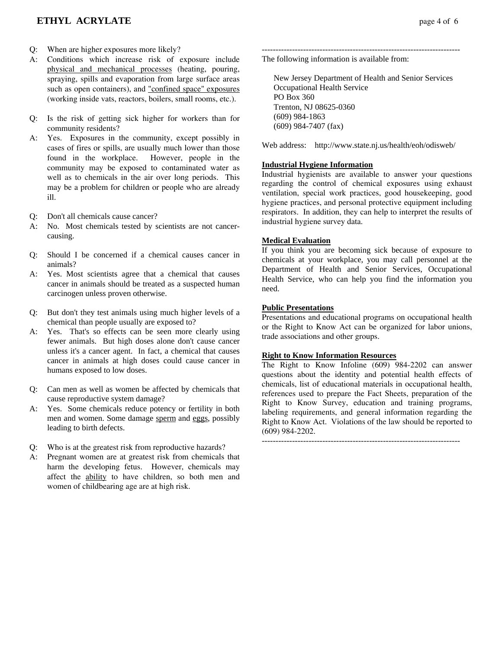- Q: When are higher exposures more likely?
- A: Conditions which increase risk of exposure include physical and mechanical processes (heating, pouring, spraying, spills and evaporation from large surface areas such as open containers), and "confined space" exposures (working inside vats, reactors, boilers, small rooms, etc.).
- Q: Is the risk of getting sick higher for workers than for community residents?
- A: Yes. Exposures in the community, except possibly in cases of fires or spills, are usually much lower than those found in the workplace. However, people in the community may be exposed to contaminated water as well as to chemicals in the air over long periods. This may be a problem for children or people who are already ill.
- Q: Don't all chemicals cause cancer?
- A: No. Most chemicals tested by scientists are not cancercausing.
- Q: Should I be concerned if a chemical causes cancer in animals?
- A: Yes. Most scientists agree that a chemical that causes cancer in animals should be treated as a suspected human carcinogen unless proven otherwise.
- Q: But don't they test animals using much higher levels of a chemical than people usually are exposed to?
- A: Yes. That's so effects can be seen more clearly using fewer animals. But high doses alone don't cause cancer unless it's a cancer agent. In fact, a chemical that causes cancer in animals at high doses could cause cancer in humans exposed to low doses.
- Q: Can men as well as women be affected by chemicals that cause reproductive system damage?
- A: Yes. Some chemicals reduce potency or fertility in both men and women. Some damage sperm and eggs, possibly leading to birth defects.
- Q: Who is at the greatest risk from reproductive hazards?
- A: Pregnant women are at greatest risk from chemicals that harm the developing fetus. However, chemicals may affect the ability to have children, so both men and women of childbearing age are at high risk.

------------------------------------------------------------------------ The following information is available from:

 New Jersey Department of Health and Senior Services Occupational Health Service PO Box 360 Trenton, NJ 08625-0360 (609) 984-1863 (609) 984-7407 (fax)

Web address: http://www.state.nj.us/health/eoh/odisweb/

#### **Industrial Hygiene Information**

Industrial hygienists are available to answer your questions regarding the control of chemical exposures using exhaust ventilation, special work practices, good housekeeping, good hygiene practices, and personal protective equipment including respirators. In addition, they can help to interpret the results of industrial hygiene survey data.

#### **Medical Evaluation**

If you think you are becoming sick because of exposure to chemicals at your workplace, you may call personnel at the Department of Health and Senior Services, Occupational Health Service, who can help you find the information you need.

#### **Public Presentations**

Presentations and educational programs on occupational health or the Right to Know Act can be organized for labor unions, trade associations and other groups.

## **Right to Know Information Resources**

The Right to Know Infoline (609) 984-2202 can answer questions about the identity and potential health effects of chemicals, list of educational materials in occupational health, references used to prepare the Fact Sheets, preparation of the Right to Know Survey, education and training programs, labeling requirements, and general information regarding the Right to Know Act. Violations of the law should be reported to (609) 984-2202.

------------------------------------------------------------------------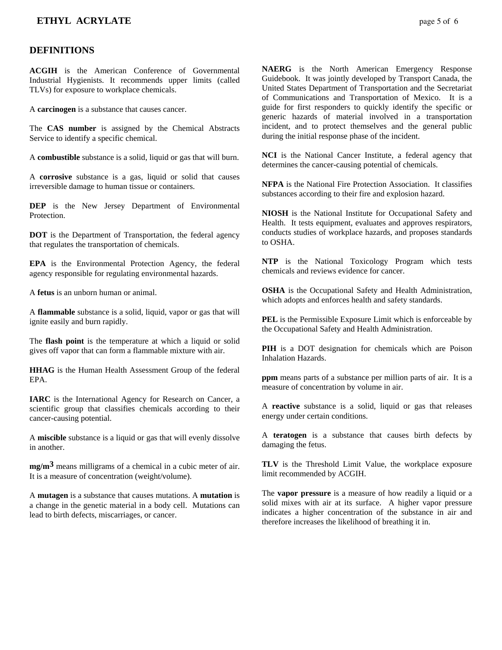## **ETHYL ACRYLATE** page 5 of 6

#### **DEFINITIONS**

**ACGIH** is the American Conference of Governmental Industrial Hygienists. It recommends upper limits (called TLVs) for exposure to workplace chemicals.

A **carcinogen** is a substance that causes cancer.

The **CAS number** is assigned by the Chemical Abstracts Service to identify a specific chemical.

A **combustible** substance is a solid, liquid or gas that will burn.

A **corrosive** substance is a gas, liquid or solid that causes irreversible damage to human tissue or containers.

**DEP** is the New Jersey Department of Environmental **Protection** 

**DOT** is the Department of Transportation, the federal agency that regulates the transportation of chemicals.

**EPA** is the Environmental Protection Agency, the federal agency responsible for regulating environmental hazards.

A **fetus** is an unborn human or animal.

A **flammable** substance is a solid, liquid, vapor or gas that will ignite easily and burn rapidly.

The **flash point** is the temperature at which a liquid or solid gives off vapor that can form a flammable mixture with air.

**HHAG** is the Human Health Assessment Group of the federal EPA.

**IARC** is the International Agency for Research on Cancer, a scientific group that classifies chemicals according to their cancer-causing potential.

A **miscible** substance is a liquid or gas that will evenly dissolve in another.

**mg/m3** means milligrams of a chemical in a cubic meter of air. It is a measure of concentration (weight/volume).

A **mutagen** is a substance that causes mutations. A **mutation** is a change in the genetic material in a body cell. Mutations can lead to birth defects, miscarriages, or cancer.

**NAERG** is the North American Emergency Response Guidebook. It was jointly developed by Transport Canada, the United States Department of Transportation and the Secretariat of Communications and Transportation of Mexico. It is a guide for first responders to quickly identify the specific or generic hazards of material involved in a transportation incident, and to protect themselves and the general public during the initial response phase of the incident.

**NCI** is the National Cancer Institute, a federal agency that determines the cancer-causing potential of chemicals.

**NFPA** is the National Fire Protection Association. It classifies substances according to their fire and explosion hazard.

**NIOSH** is the National Institute for Occupational Safety and Health. It tests equipment, evaluates and approves respirators, conducts studies of workplace hazards, and proposes standards to OSHA.

**NTP** is the National Toxicology Program which tests chemicals and reviews evidence for cancer.

**OSHA** is the Occupational Safety and Health Administration, which adopts and enforces health and safety standards.

**PEL** is the Permissible Exposure Limit which is enforceable by the Occupational Safety and Health Administration.

**PIH** is a DOT designation for chemicals which are Poison Inhalation Hazards.

**ppm** means parts of a substance per million parts of air. It is a measure of concentration by volume in air.

A **reactive** substance is a solid, liquid or gas that releases energy under certain conditions.

A **teratogen** is a substance that causes birth defects by damaging the fetus.

**TLV** is the Threshold Limit Value, the workplace exposure limit recommended by ACGIH.

The **vapor pressure** is a measure of how readily a liquid or a solid mixes with air at its surface. A higher vapor pressure indicates a higher concentration of the substance in air and therefore increases the likelihood of breathing it in.